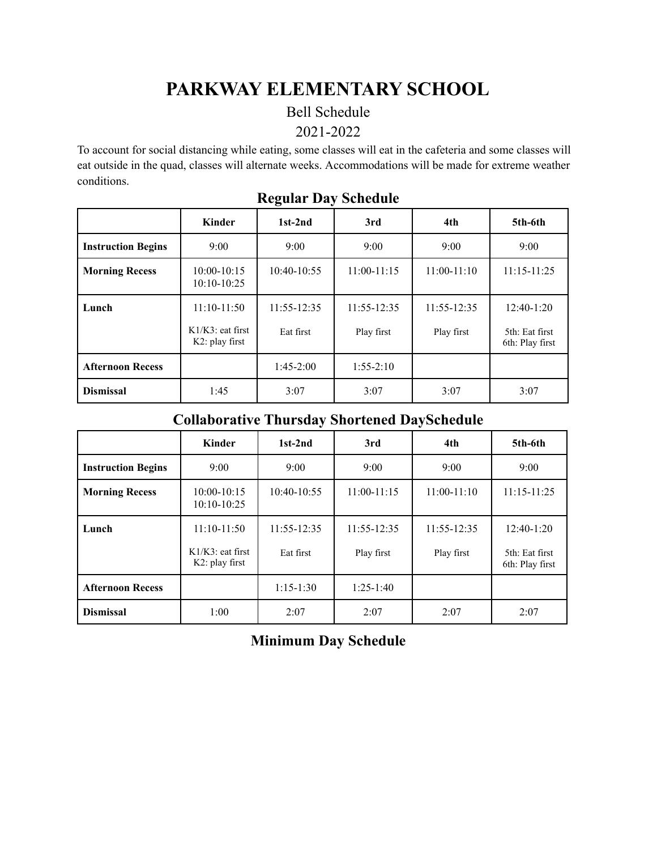# **PARKWAY ELEMENTARY SCHOOL**

#### Bell Schedule

#### 2021-2022

To account for social distancing while eating, some classes will eat in the cafeteria and some classes will eat outside in the quad, classes will alternate weeks. Accommodations will be made for extreme weather conditions.

|                           | <b>Kinder</b>                            | $1st-2nd$       | 3rd             | 4th             | 5th-6th                           |
|---------------------------|------------------------------------------|-----------------|-----------------|-----------------|-----------------------------------|
| <b>Instruction Begins</b> | 9:00                                     | 9:00            | 9:00            | 9:00            | 9:00                              |
| <b>Morning Recess</b>     | $10:00 - 10:15$<br>$10:10-10:25$         | 10:40-10:55     | $11:00-11:15$   | $11:00-11:10$   | $11:15 - 11:25$                   |
| Lunch                     | $11:10-11:50$                            | $11:55 - 12:35$ | $11:55 - 12:35$ | $11:55 - 12:35$ | $12:40-1:20$                      |
|                           | $K1/K3$ : eat first<br>$K2$ : play first | Eat first       | Play first      | Play first      | 5th: Eat first<br>6th: Play first |
| <b>Afternoon Recess</b>   |                                          | $1:45-2:00$     | $1:55-2:10$     |                 |                                   |
| <b>Dismissal</b>          | 1:45                                     | 3:07            | 3:07            | 3:07            | 3:07                              |

#### **Regular Day Schedule**

### **Collaborative Thursday Shortened DaySchedule**

|                           | Kinder                                   | $1st-2nd$       | 3rd             | 4th           | 5th-6th                           |
|---------------------------|------------------------------------------|-----------------|-----------------|---------------|-----------------------------------|
| <b>Instruction Begins</b> | 9:00                                     | 9:00            | 9:00            | 9:00          | 9:00                              |
| <b>Morning Recess</b>     | $10:00 - 10:15$<br>$10:10-10:25$         | $10:40-10:55$   | $11:00-11:15$   | $11:00-11:10$ | $11:15 - 11:25$                   |
| Lunch                     | $11:10-11:50$                            | $11:55 - 12:35$ | $11:55 - 12:35$ | 11:55-12:35   | $12:40-1:20$                      |
|                           | $K1/K3$ : eat first<br>$K2$ : play first | Eat first       | Play first      | Play first    | 5th: Eat first<br>6th: Play first |
| <b>Afternoon Recess</b>   |                                          | $1:15-1:30$     | $1:25-1:40$     |               |                                   |
| <b>Dismissal</b>          | 1:00                                     | 2:07            | 2:07            | 2:07          | 2:07                              |

## **Minimum Day Schedule**